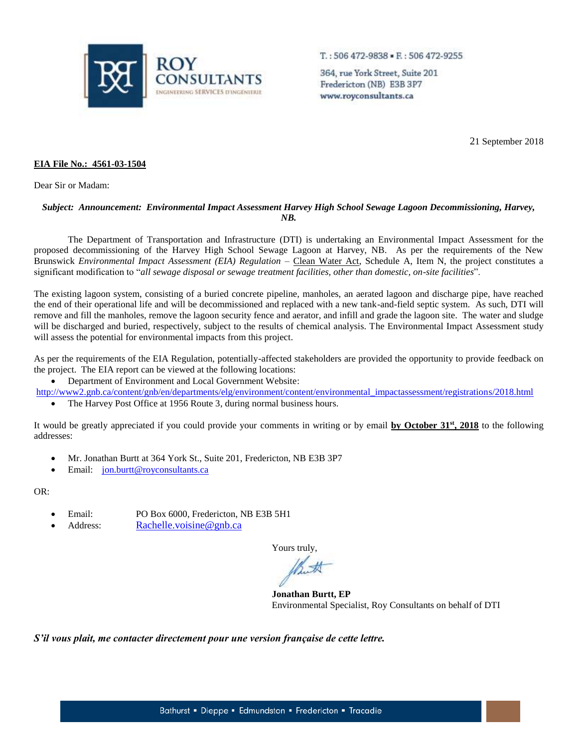

 $T.: 506472-9838 - E.: 506472-9255$ 

364, rue York Street, Suite 201 Fredericton (NB) E3B 3P7 www.royconsultants.ca

21 September 2018

## **EIA File No.: 4561-03-1504**

Dear Sir or Madam:

## *Subject: Announcement: Environmental Impact Assessment Harvey High School Sewage Lagoon Decommissioning, Harvey, NB.*

The Department of Transportation and Infrastructure (DTI) is undertaking an Environmental Impact Assessment for the proposed decommissioning of the Harvey High School Sewage Lagoon at Harvey, NB. As per the requirements of the New Brunswick *Environmental Impact Assessment (EIA) Regulation* – Clean Water Act, Schedule A, Item N, the project constitutes a significant modification to "*all sewage disposal or sewage treatment facilities, other than domestic, on-site facilities*".

The existing lagoon system, consisting of a buried concrete pipeline, manholes, an aerated lagoon and discharge pipe, have reached the end of their operational life and will be decommissioned and replaced with a new tank-and-field septic system. As such, DTI will remove and fill the manholes, remove the lagoon security fence and aerator, and infill and grade the lagoon site. The water and sludge will be discharged and buried, respectively, subject to the results of chemical analysis. The Environmental Impact Assessment study will assess the potential for environmental impacts from this project.

As per the requirements of the EIA Regulation, potentially-affected stakeholders are provided the opportunity to provide feedback on the project. The EIA report can be viewed at the following locations:

Department of Environment and Local Government Website:

[http://www2.gnb.ca/content/gnb/en/departments/elg/environment/content/environmental\\_impactassessment/registrations/2018.html](http://www2.gnb.ca/content/gnb/en/departments/elg/environment/content/environmental_impactassessment/registrations/2018.html)

The Harvey Post Office at 1956 Route 3, during normal business hours.

It would be greatly appreciated if you could provide your comments in writing or by email **by October 31 st, 2018** to the following addresses:

- Mr. Jonathan Burtt at 364 York St., Suite 201, Fredericton, NB E3B 3P7
- Email: [jon.burtt@royconsultants.ca](mailto:jon.burtt@royconsultants.ca)

OR:

- Email: PO Box 6000, Fredericton, NB E3B 5H1
- Address: [Rachelle.voisine@gnb.ca](mailto:Rachelle.voisine@gnb.ca)

Yours truly,

**Jonathan Burtt, EP** Environmental Specialist, Roy Consultants on behalf of DTI

*S'il vous plait, me contacter directement pour une version française de cette lettre.*